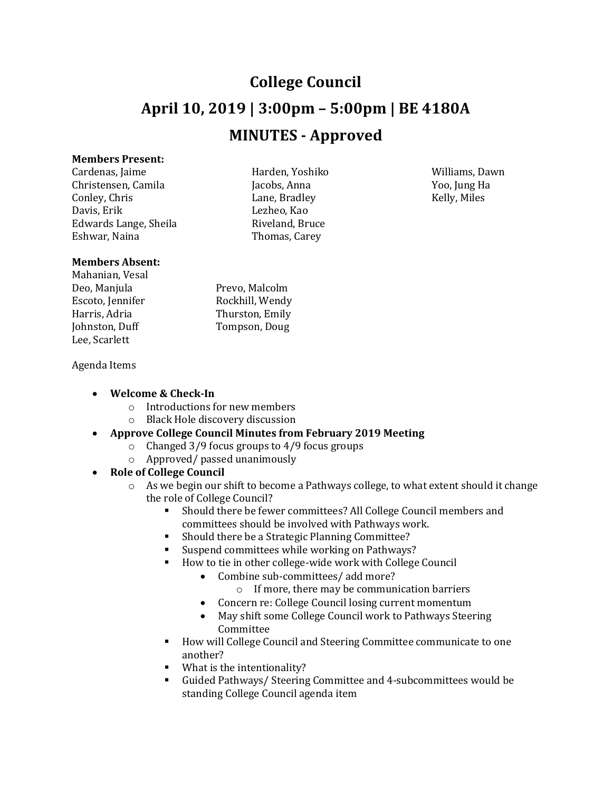# **College Council April 10, 2019 | 3:00pm – 5:00pm | BE 4180A MINUTES - Approved**

#### **Members Present:**

Cardenas, Jaime Harden, Yoshiko Williams, Dawn Christensen, Camila Jacobs, Anna Yoo, Jung Ha Conley, Chris **Example 2** Lane, Bradley **Conlex 2 Relly, Miles** Davis, Erik Lezheo, Kao<br>Edwards Lange, Sheila kana kiveland, Bruce Edwards Lange, Sheila<br>Eshwar, Naina

## **Members Absent:**

Mahanian, Vesal Escoto, Jennifer<br>Harris, Adria Lee, Scarlett

Thomas, Carey

Prevo, Malcolm<br>Rockhill, Wendy Harris, Adria Thurston, Emily<br>
Iohnston, Duff Tompson, Doug Tompson, Doug

#### Agenda Items

- **Welcome & Check-In**
	- o Introductions for new members
	- o Black Hole discovery discussion
- **Approve College Council Minutes from February 2019 Meeting**
	- o Changed 3/9 focus groups to 4/9 focus groups
	- o Approved/ passed unanimously

### • **Role of College Council**

- $\circ$  As we begin our shift to become a Pathways college, to what extent should it change the role of College Council?
	- Should there be fewer committees? All College Council members and committees should be involved with Pathways work.
	- Should there be a Strategic Planning Committee?
	- Suspend committees while working on Pathways?<br>• How to tie in other college-wide work with College
	- How to tie in other college-wide work with College Council<br>Combine sub-committees/add more?
		- Combine sub-committees/ add more?
			- o If more, there may be communication barriers
		- Concern re: College Council losing current momentum
		- May shift some College Council work to Pathways Steering Committee
	- **How will College Council and Steering Committee communicate to one** another?
	- What is the intentionality?
	- Guided Pathways/ Steering Committee and 4-subcommittees would be standing College Council agenda item